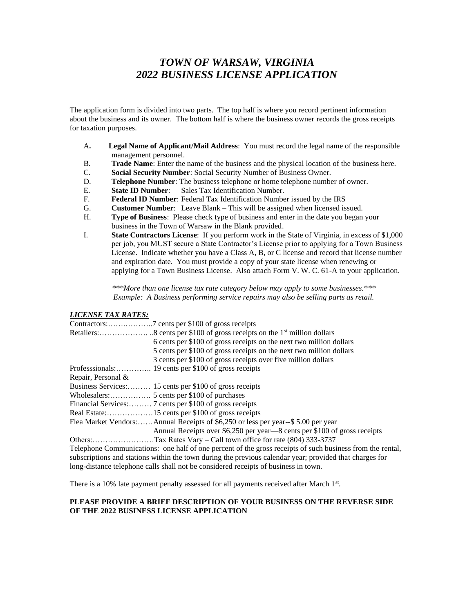# *TOWN OF WARSAW, VIRGINIA 2022 BUSINESS LICENSE APPLICATION*

The application form is divided into two parts. The top half is where you record pertinent information about the business and its owner. The bottom half is where the business owner records the gross receipts for taxation purposes.

- A**. Legal Name of Applicant/Mail Address**: You must record the legal name of the responsible management personnel.
- B. **Trade Name**: Enter the name of the business and the physical location of the business here.
- C. **Social Security Number**: Social Security Number of Business Owner.
- D. **Telephone Number**: The business telephone or home telephone number of owner.
- E. **State ID Number**: Sales Tax Identification Number.
- F. **Federal ID Number**: Federal Tax Identification Number issued by the IRS
- G. **Customer Number**: Leave Blank This will be assigned when licensed issued.
- H. **Type of Business**: Please check type of business and enter in the date you began your business in the Town of Warsaw in the Blank provided.
- I. **State Contractors License**: If you perform work in the State of Virginia, in excess of \$1,000 per job, you MUST secure a State Contractor's License prior to applying for a Town Business License. Indicate whether you have a Class A, B, or C license and record that license number and expiration date. You must provide a copy of your state license when renewing or applying for a Town Business License. Also attach Form V. W. C. 61-A to your application.

*\*\*\*More than one license tax rate category below may apply to some businesses.\*\*\* Example: A Business performing service repairs may also be selling parts as retail.*

## *LICENSE TAX RATES:*

|                    | 6 cents per \$100 of gross receipts on the next two million dollars                                       |
|--------------------|-----------------------------------------------------------------------------------------------------------|
|                    | 5 cents per \$100 of gross receipts on the next two million dollars                                       |
|                    | 3 cents per \$100 of gross receipts over five million dollars                                             |
|                    |                                                                                                           |
| Repair, Personal & |                                                                                                           |
|                    | Business Services: 15 cents per \$100 of gross receipts                                                   |
|                    |                                                                                                           |
|                    | Financial Services: 7 cents per \$100 of gross receipts                                                   |
|                    | Real Estate:15 cents per \$100 of gross receipts                                                          |
|                    | Flea Market Vendors: Annual Receipts of \$6,250 or less per year--\$ 5.00 per year                        |
|                    | Annual Receipts over \$6,250 per year—8 cents per \$100 of gross receipts                                 |
|                    |                                                                                                           |
|                    | Telephone Communications: one half of one percent of the gross receipts of such business from the rental, |
|                    | subscriptions and stations within the town during the previous calendar year; provided that charges for   |

long-distance telephone calls shall not be considered receipts of business in town.

There is a 10% late payment penalty assessed for all payments received after March 1<sup>st</sup>.

#### **PLEASE PROVIDE A BRIEF DESCRIPTION OF YOUR BUSINESS ON THE REVERSE SIDE OF THE 2022 BUSINESS LICENSE APPLICATION**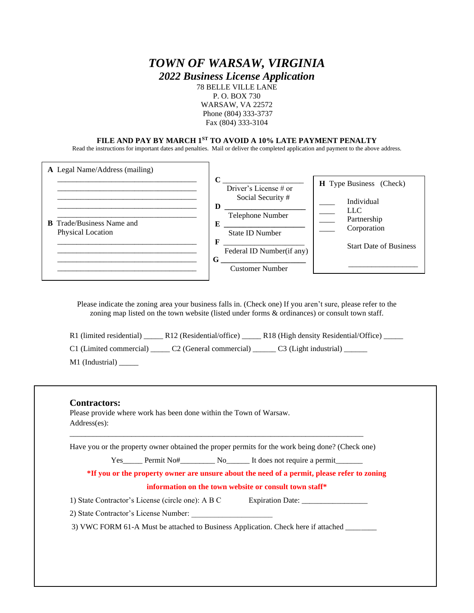# *TOWN OF WARSAW, VIRGINIA*

*2022 Business License Application*

78 BELLE VILLE LANE P. O. BOX 730 WARSAW, VA 22572 Phone (804) 333-3737 Fax (804) 333-3104

### **FILE AND PAY BY MARCH 1ST TO AVOID A 10% LATE PAYMENT PENALTY**

Read the instructions for important dates and penalties. Mail or deliver the completed application and payment to the above address.

| <b>A</b> Legal Name/Address (mailing)<br><b>B</b> Trade/Business Name and<br><b>Physical Location</b> | $\mathbf C$<br>Driver's License # or<br>Social Security #<br>D<br>Telephone Number<br>Е<br><b>State ID Number</b><br>F<br>Federal ID Number(if any)<br>G<br><b>Customer Number</b> | <b>H</b> Type Business (Check)<br>Individual<br>LLC<br>Partnership<br>Corporation<br><b>Start Date of Business</b> |
|-------------------------------------------------------------------------------------------------------|------------------------------------------------------------------------------------------------------------------------------------------------------------------------------------|--------------------------------------------------------------------------------------------------------------------|
|                                                                                                       |                                                                                                                                                                                    |                                                                                                                    |

Please indicate the zoning area your business falls in. (Check one) If you aren't sure, please refer to the zoning map listed on the town website (listed under forms & ordinances) or consult town staff.

- R1 (limited residential) \_\_\_\_\_ R12 (Residential/office) \_\_\_\_\_ R18 (High density Residential/Office) \_\_\_\_\_ C1 (Limited commercial) \_\_\_\_\_ C2 (General commercial) \_\_\_\_\_\_ C3 (Light industrial) \_\_\_\_\_
- M1 (Industrial) \_\_\_\_\_\_

|                                                                                             |                                                   |  | Have you or the property owner obtained the proper permits for the work being done? (Check one) |  |  |  |
|---------------------------------------------------------------------------------------------|---------------------------------------------------|--|-------------------------------------------------------------------------------------------------|--|--|--|
|                                                                                             |                                                   |  |                                                                                                 |  |  |  |
| *If you or the property owner are unsure about the need of a permit, please refer to zoning |                                                   |  |                                                                                                 |  |  |  |
| information on the town website or consult town staff*                                      |                                                   |  |                                                                                                 |  |  |  |
|                                                                                             | 1) State Contractor's License (circle one): A B C |  | Expiration Date:                                                                                |  |  |  |
|                                                                                             | 2) State Contractor's License Number:             |  |                                                                                                 |  |  |  |
|                                                                                             |                                                   |  | 3) VWC FORM 61-A Must be attached to Business Application. Check here if attached _______       |  |  |  |